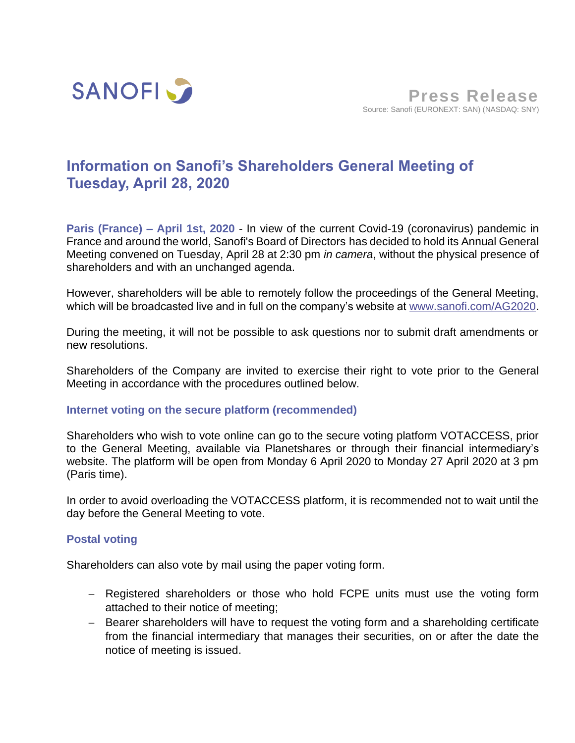

# **Information on Sanofi's Shareholders General Meeting of Tuesday, April 28, 2020**

**Paris (France) – April 1st, 2020** - In view of the current Covid-19 (coronavirus) pandemic in France and around the world, Sanofi's Board of Directors has decided to hold its Annual General Meeting convened on Tuesday, April 28 at 2:30 pm *in camera*, without the physical presence of shareholders and with an unchanged agenda.

However, shareholders will be able to remotely follow the proceedings of the General Meeting, which will be broadcasted live and in full on the company's website at [www.sanofi.com/AG2020.](https://www.sanofi.com/en/investors/financial-results-and-events/general-meetings/AGM-2020)

During the meeting, it will not be possible to ask questions nor to submit draft amendments or new resolutions.

Shareholders of the Company are invited to exercise their right to vote prior to the General Meeting in accordance with the procedures outlined below.

# **Internet voting on the secure platform (recommended)**

Shareholders who wish to vote online can go to the secure voting platform VOTACCESS, prior to the General Meeting, available via Planetshares or through their financial intermediary's website. The platform will be open from Monday 6 April 2020 to Monday 27 April 2020 at 3 pm (Paris time).

In order to avoid overloading the VOTACCESS platform, it is recommended not to wait until the day before the General Meeting to vote.

# **Postal voting**

Shareholders can also vote by mail using the paper voting form.

- − Registered shareholders or those who hold FCPE units must use the voting form attached to their notice of meeting;
- − Bearer shareholders will have to request the voting form and a shareholding certificate from the financial intermediary that manages their securities, on or after the date the notice of meeting is issued.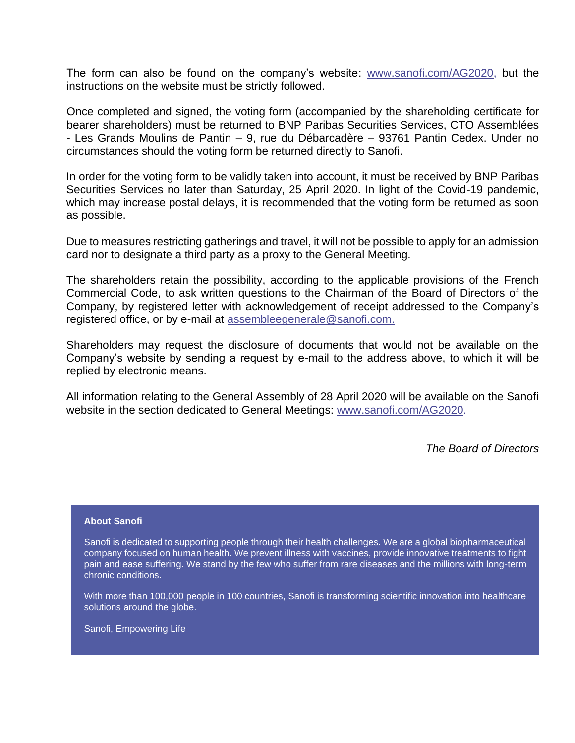The form can also be found on the company's website: [www.sanofi.com/AG2020,](https://www.sanofi.com/en/investors/financial-results-and-events/general-meetings/AGM-2020) but the instructions on the website must be strictly followed.

Once completed and signed, the voting form (accompanied by the shareholding certificate for bearer shareholders) must be returned to BNP Paribas Securities Services, CTO Assemblées - Les Grands Moulins de Pantin – 9, rue du Débarcadère – 93761 Pantin Cedex. Under no circumstances should the voting form be returned directly to Sanofi.

In order for the voting form to be validly taken into account, it must be received by BNP Paribas Securities Services no later than Saturday, 25 April 2020. In light of the Covid-19 pandemic, which may increase postal delays, it is recommended that the voting form be returned as soon as possible.

Due to measures restricting gatherings and travel, it will not be possible to apply for an admission card nor to designate a third party as a proxy to the General Meeting.

The shareholders retain the possibility, according to the applicable provisions of the French Commercial Code, to ask written questions to the Chairman of the Board of Directors of the Company, by registered letter with acknowledgement of receipt addressed to the Company's registered office, or by e-mail at [assembleegenerale@sanofi.com.](mailto:assembleegenerale@sanofi.com)

Shareholders may request the disclosure of documents that would not be available on the Company's website by sending a request by e-mail to the address above, to which it will be replied by electronic means.

All information relating to the General Assembly of 28 April 2020 will be available on the Sanofi website in the section dedicated to General Meetings: [www.sanofi.com/AG2020.](https://www.sanofi.com/en/investors/financial-results-and-events/general-meetings/AGM-2020)

*The Board of Directors*

## **About Sanofi**

Sanofi is dedicated to supporting people through their health challenges. We are a global biopharmaceutical company focused on human health. We prevent illness with vaccines, provide innovative treatments to fight pain and ease suffering. We stand by the few who suffer from rare diseases and the millions with long-term chronic conditions.

With more than 100,000 people in 100 countries, Sanofi is transforming scientific innovation into healthcare solutions around the globe.

Sanofi, Empowering Life